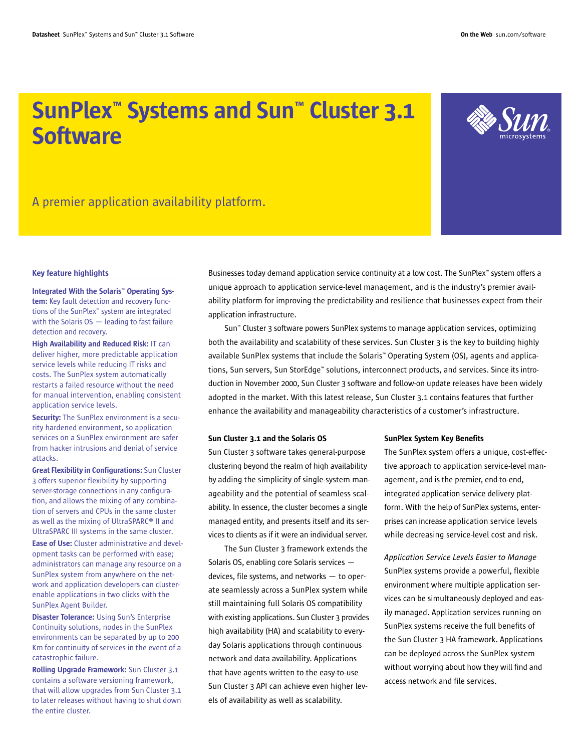# SunPlex™ Systems and Sun™ Cluster 3.1 **Software**



A premier application availability platform.

### Key feature highlights

Integrated With the Solaris™ Operating System: Key fault detection and recovery functions of the SunPlex™ system are integrated with the Solaris  $OS$   $-$  leading to fast failure detection and recovery.

High Availability and Reduced Risk: IT can deliver higher, more predictable application service levels while reducing IT risks and costs. The SunPlex system automatically restarts a failed resource without the need for manual intervention, enabling consistent application service levels.

Security: The SunPlex environment is a security hardened environment, so application services on a SunPlex environment are safer from hacker intrusions and denial of service attacks.

Great Flexibility in Configurations: Sun Cluster 3 offers superior flexibility by supporting server-storage connections in any configuration, and allows the mixing of any combination of servers and CPUs in the same cluster as well as the mixing of UltraSPARC® II and UltraSPARC III systems in the same cluster.

Ease of Use: Cluster administrative and development tasks can be performed with ease; administrators can manage any resource on a SunPlex system from anywhere on the network and application developers can clusterenable applications in two clicks with the SunPlex Agent Builder.

**Disaster Tolerance:** Using Sun's Enterprise Continuity solutions, nodes in the SunPlex environments can be separated by up to 200 Km for continuity of services in the event of a catastrophic failure.

Rolling Upgrade Framework: Sun Cluster 3.1 contains a software versioning framework, that will allow upgrades from Sun Cluster 3.1 to later releases without having to shut down the entire cluster.

Businesses today demand application service continuity at a low cost. The SunPlex™ system offers a unique approach to application service-level management, and is the industry's premier availability platform for improving the predictability and resilience that businesses expect from their application infrastructure.

Sun™ Cluster 3 software powers SunPlex systems to manage application services, optimizing both the availability and scalability of these services. Sun Cluster 3 is the key to building highly available SunPlex systems that include the Solaris™ Operating System (OS), agents and applications, Sun servers, Sun StorEdge™ solutions, interconnect products, and services. Since its introduction in November 2000, Sun Cluster 3 software and follow-on update releases have been widely adopted in the market. With this latest release, Sun Cluster 3.1 contains features that further enhance the availability and manageability characteristics of a customer's infrastructure.

### Sun Cluster 3.1 and the Solaris OS

Sun Cluster 3 software takes general-purpose clustering beyond the realm of high availability by adding the simplicity of single-system manageability and the potential of seamless scalability. In essence, the cluster becomes a single managed entity, and presents itself and its services to clients as if it were an individual server.

The Sun Cluster 3 framework extends the Solaris OS, enabling core Solaris services devices, file systems, and networks — to operate seamlessly across a SunPlex system while still maintaining full Solaris OS compatibility with existing applications. Sun Cluster 3 provides high availability (HA) and scalability to everyday Solaris applications through continuous network and data availability. Applications that have agents written to the easy-to-use Sun Cluster 3 API can achieve even higher levels of availability as well as scalability.

### SunPlex System Key Benefits

The SunPlex system offers a unique, cost-effective approach to application service-level management, and is the premier, end-to-end, integrated application service delivery platform. With the help of SunPlex systems, enterprises can increase application service levels while decreasing service-level cost and risk.

*Application Service Levels Easier to Manage* SunPlex systems provide a powerful, flexible environment where multiple application services can be simultaneously deployed and easily managed. Application services running on SunPlex systems receive the full benefits of the Sun Cluster 3 HA framework. Applications can be deployed across the SunPlex system without worrying about how they will find and access network and file services.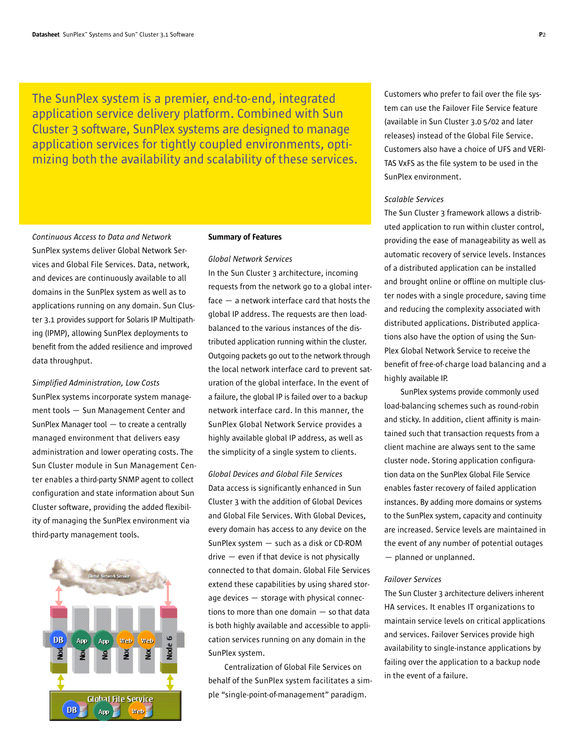The SunPlex system is a premier, end-to-end, integrated application service delivery platform. Combined with Sun Cluster 3 software, SunPlex systems are designed to manage application services for tightly coupled environments, optimizing both the availability and scalability of these services.

*Continuous Access to Data and Network* SunPlex systems deliver Global Network Services and Global File Services. Data, network, and devices are continuously available to all domains in the SunPlex system as well as to applications running on any domain. Sun Cluster 3.1 provides support for Solaris IP Multipathing (IPMP), allowing SunPlex deployments to benefit from the added resilience and improved data throughput.

*Simplified Administration, Low Costs* SunPlex systems incorporate system management tools — Sun Management Center and SunPlex Manager tool — to create a centrally managed environment that delivers easy administration and lower operating costs. The Sun Cluster module in Sun Management Center enables a third-party SNMP agent to collect configuration and state information about Sun Cluster software, providing the added flexibility of managing the SunPlex environment via third-party management tools.



#### Summary of Features

#### *Global Network Services*

In the Sun Cluster 3 architecture, incoming requests from the network go to a global interface — a network interface card that hosts the global IP address. The requests are then loadbalanced to the various instances of the distributed application running within the cluster. Outgoing packets go out to the network through the local network interface card to prevent saturation of the global interface. In the event of a failure, the global IP is failed over to a backup network interface card. In this manner, the SunPlex Global Network Service provides a highly available global IP address, as well as the simplicity of a single system to clients.

*Global Devices and Global File Services* Data access is significantly enhanced in Sun Cluster 3 with the addition of Global Devices and Global File Services. With Global Devices, every domain has access to any device on the SunPlex system — such as a disk or CD-ROM drive — even if that device is not physically connected to that domain. Global File Services extend these capabilities by using shared storage devices — storage with physical connections to more than one domain — so that data is both highly available and accessible to application services running on any domain in the SunPlex system.

Centralization of Global File Services on behalf of the SunPlex system facilitates a simple "single-point-of-management" paradigm.

Customers who prefer to fail over the file system can use the Failover File Service feature (available in Sun Cluster 3.0 5/02 and later releases) instead of the Global File Service. Customers also have a choice of UFS and VERI-TAS VxFS as the file system to be used in the SunPlex environment.

### *Scalable Services*

The Sun Cluster 3 framework allows a distributed application to run within cluster control, providing the ease of manageability as well as automatic recovery of service levels. Instances of a distributed application can be installed and brought online or offline on multiple cluster nodes with a single procedure, saving time and reducing the complexity associated with distributed applications. Distributed applications also have the option of using the Sun-Plex Global Network Service to receive the benefit of free-of-charge load balancing and a highly available IP.

SunPlex systems provide commonly used load-balancing schemes such as round-robin and sticky. In addition, client affinity is maintained such that transaction requests from a client machine are always sent to the same cluster node. Storing application configuration data on the SunPlex Global File Service enables faster recovery of failed application instances. By adding more domains or systems to the SunPlex system, capacity and continuity are increased. Service levels are maintained in the event of any number of potential outages — planned or unplanned.

### *Failover Services*

The Sun Cluster 3 architecture delivers inherent HA services. It enables IT organizations to maintain service levels on critical applications and services. Failover Services provide high availability to single-instance applications by failing over the application to a backup node in the event of a failure.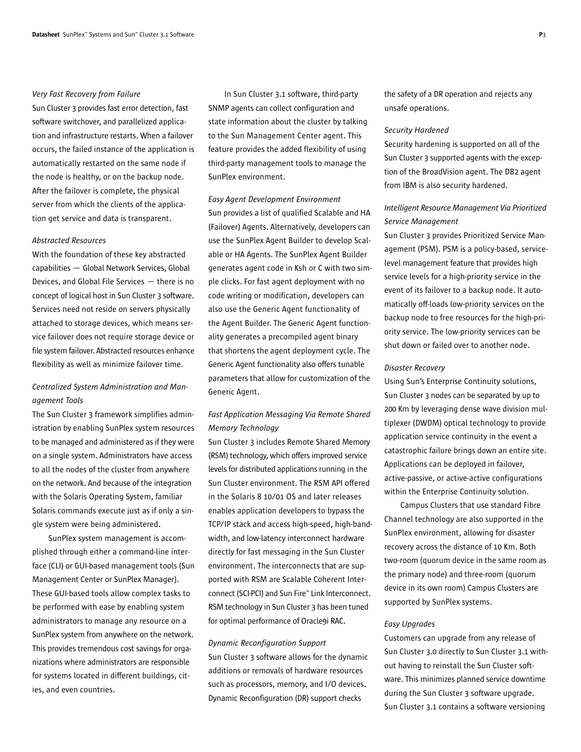### *Very Fast Recovery from Failure*

Sun Cluster 3 provides fast error detection, fast software switchover, and parallelized application and infrastructure restarts. When a failover occurs, the failed instance of the application is automatically restarted on the same node if the node is healthy, or on the backup node. After the failover is complete, the physical server from which the clients of the application get service and data is transparent.

### *Abstracted Resources*

With the foundation of these key abstracted capabilities — Global Network Services, Global Devices, and Global File Services — there is no concept of logical host in Sun Cluster 3 software. Services need not reside on servers physically attached to storage devices, which means service failover does not require storage device or file system failover. Abstracted resources enhance flexibility as well as minimize failover time.

### *Centralized System Administration and Management Tools*

The Sun Cluster 3 framework simplifies administration by enabling SunPlex system resources to be managed and administered as if they were on a single system. Administrators have access to all the nodes of the cluster from anywhere on the network. And because of the integration with the Solaris Operating System, familiar Solaris commands execute just as if only a single system were being administered.

SunPlex system management is accomplished through either a command-line interface (CLI) or GUI-based management tools (Sun Management Center or SunPlex Manager). These GUI-based tools allow complex tasks to be performed with ease by enabling system administrators to manage any resource on a SunPlex system from anywhere on the network. This provides tremendous cost savings for organizations where administrators are responsible for systems located in different buildings, cities, and even countries.

In Sun Cluster 3.1 software, third-party SNMP agents can collect configuration and state information about the cluster by talking to the Sun Management Center agent. This feature provides the added flexibility of using third-party management tools to manage the SunPlex environment.

### *Easy Agent Development Environment*

Sun provides a list of qualified Scalable and HA (Failover) Agents. Alternatively, developers can use the SunPlex Agent Builder to develop Scalable or HA Agents. The SunPlex Agent Builder generates agent code in Ksh or C with two simple clicks. For fast agent deployment with no code writing or modification, developers can also use the Generic Agent functionality of the Agent Builder. The Generic Agent functionality generates a precompiled agent binary that shortens the agent deployment cycle. The Generic Agent functionality also offers tunable parameters that allow for customization of the Generic Agent.

### *Fast Application Messaging Via Remote Shared Memory Technology*

Sun Cluster 3 includes Remote Shared Memory (RSM) technology, which offers improved service levels for distributed applications running in the Sun Cluster environment. The RSM API offered in the Solaris 8 10/01 OS and later releases enables application developers to bypass the TCP/IP stack and access high-speed, high-bandwidth, and low-latency interconnect hardware directly for fast messaging in the Sun Cluster environment. The interconnects that are supported with RSM are Scalable Coherent Interconnect (SCI-PCI) and Sun Fire™ Link Interconnect. RSM technology in Sun Cluster 3 has been tuned for optimal performance of Oracle9i RAC.

### *Dynamic Reconfiguration Support*

Sun Cluster 3 software allows for the dynamic additions or removals of hardware resources such as processors, memory, and I/O devices. Dynamic Reconfiguration (DR) support checks

the safety of a DR operation and rejects any unsafe operations.

### *Security Hardened*

Security hardening is supported on all of the Sun Cluster 3 supported agents with the exception of the BroadVision agent. The DB2 agent from IBM is also security hardened.

### *Intelligent Resource Management Via Prioritized Service Management*

Sun Cluster 3 provides Prioritized Service Management (PSM). PSM is a policy-based, servicelevel management feature that provides high service levels for a high-priority service in the event of its failover to a backup node. It automatically off-loads low-priority services on the backup node to free resources for the high-priority service. The low-priority services can be shut down or failed over to another node.

### *Disaster Recovery*

Using Sun's Enterprise Continuity solutions, Sun Cluster 3 nodes can be separated by up to 200 Km by leveraging dense wave division multiplexer (DWDM) optical technology to provide application service continuity in the event a catastrophic failure brings down an entire site. Applications can be deployed in failover, active-passive, or active-active configurations within the Enterprise Continuity solution.

Campus Clusters that use standard Fibre Channel technology are also supported in the SunPlex environment, allowing for disaster recovery across the distance of 10 Km. Both two-room (quorum device in the same room as the primary node) and three-room (quorum device in its own room) Campus Clusters are supported by SunPlex systems.

### *Easy Upgrades*

Customers can upgrade from any release of Sun Cluster 3.0 directly to Sun Cluster 3.1 without having to reinstall the Sun Cluster software. This minimizes planned service downtime during the Sun Cluster 3 software upgrade. Sun Cluster 3.1 contains a software versioning